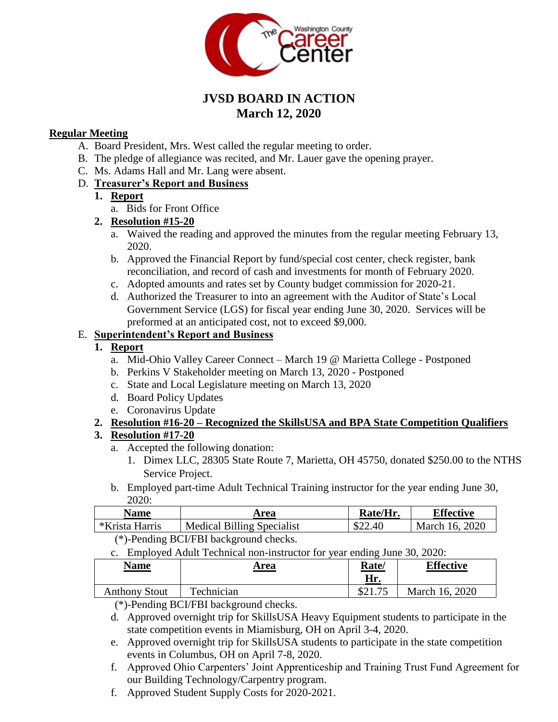

# **JVSD BOARD IN ACTION March 12, 2020**

#### **Regular Meeting**

- A. Board President, Mrs. West called the regular meeting to order.
- B. The pledge of allegiance was recited, and Mr. Lauer gave the opening prayer.
- C. Ms. Adams Hall and Mr. Lang were absent.

### D. **Treasurer's Report and Business**

#### **1. Report**

a. Bids for Front Office

#### **2. Resolution #15-20**

- a. Waived the reading and approved the minutes from the regular meeting February 13, 2020.
- b. Approved the Financial Report by fund/special cost center, check register, bank reconciliation, and record of cash and investments for month of February 2020.
- c. Adopted amounts and rates set by County budget commission for 2020-21.
- d. Authorized the Treasurer to into an agreement with the Auditor of State's Local Government Service (LGS) for fiscal year ending June 30, 2020. Services will be preformed at an anticipated cost, not to exceed \$9,000.

## E. **Superintendent's Report and Business**

### **1. Report**

- a. Mid-Ohio Valley Career Connect March 19 @ Marietta College Postponed
- b. Perkins V Stakeholder meeting on March 13, 2020 Postponed
- c. State and Local Legislature meeting on March 13, 2020
- d. Board Policy Updates
- e. Coronavirus Update

### **2. Resolution #16-20 – Recognized the SkillsUSA and BPA State Competition Qualifiers**

### **3. Resolution #17-20**

- a. Accepted the following donation:
	- 1. Dimex LLC, 28305 State Route 7, Marietta, OH 45750, donated \$250.00 to the NTHS Service Project.
- b. Employed part-time Adult Technical Training instructor for the year ending June 30, 2020:

| Name                                                    | Area                              | Rate/Hr. | Effective      |  |
|---------------------------------------------------------|-----------------------------------|----------|----------------|--|
| *Krista Harris                                          | <b>Medical Billing Specialist</b> | \$22.40  | March 16, 2020 |  |
| $(4)$ n $(1)$ n $(1)$ n $(1)$ n $(1)$ $(1)$ $(1)$ $(1)$ |                                   |          |                |  |

- (\*)-Pending BCI/FBI background checks.
- c. Employed Adult Technical non-instructor for year ending June 30, 2020:

| Name                 | Area       | <u>Rate/</u><br>Hr. | <b>Effective</b> |
|----------------------|------------|---------------------|------------------|
| <b>Anthony Stout</b> | Technician | C21                 | March 16, 2020   |

(\*)-Pending BCI/FBI background checks.

- d. Approved overnight trip for SkillsUSA Heavy Equipment students to participate in the state competition events in Miamisburg, OH on April 3-4, 2020.
- e. Approved overnight trip for SkillsUSA students to participate in the state competition events in Columbus, OH on April 7-8, 2020.
- f. Approved Ohio Carpenters' Joint Apprenticeship and Training Trust Fund Agreement for our Building Technology/Carpentry program.
- f. Approved Student Supply Costs for 2020-2021.